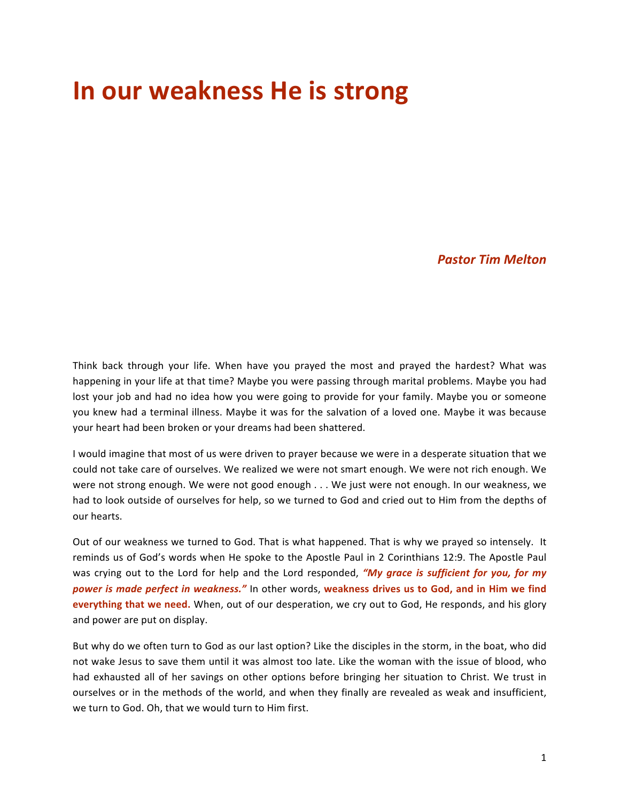## **In our weakness He is strong**

*Pastor Tim Melton*

Think back through your life. When have you prayed the most and prayed the hardest? What was happening in your life at that time? Maybe you were passing through marital problems. Maybe you had lost your job and had no idea how you were going to provide for your family. Maybe you or someone you knew had a terminal illness. Maybe it was for the salvation of a loved one. Maybe it was because your heart had been broken or your dreams had been shattered.

I would imagine that most of us were driven to prayer because we were in a desperate situation that we could not take care of ourselves. We realized we were not smart enough. We were not rich enough. We were not strong enough. We were not good enough . . . We just were not enough. In our weakness, we had to look outside of ourselves for help, so we turned to God and cried out to Him from the depths of our hearts.

Out of our weakness we turned to God. That is what happened. That is why we prayed so intensely. It reminds us of God's words when He spoke to the Apostle Paul in 2 Corinthians 12:9. The Apostle Paul was crying out to the Lord for help and the Lord responded, "My grace is sufficient for you, for my power is made perfect in weakness." In other words, weakness drives us to God, and in Him we find **everything that we need.** When, out of our desperation, we cry out to God, He responds, and his glory and power are put on display.

But why do we often turn to God as our last option? Like the disciples in the storm, in the boat, who did not wake Jesus to save them until it was almost too late. Like the woman with the issue of blood, who had exhausted all of her savings on other options before bringing her situation to Christ. We trust in ourselves or in the methods of the world, and when they finally are revealed as weak and insufficient, we turn to God. Oh, that we would turn to Him first.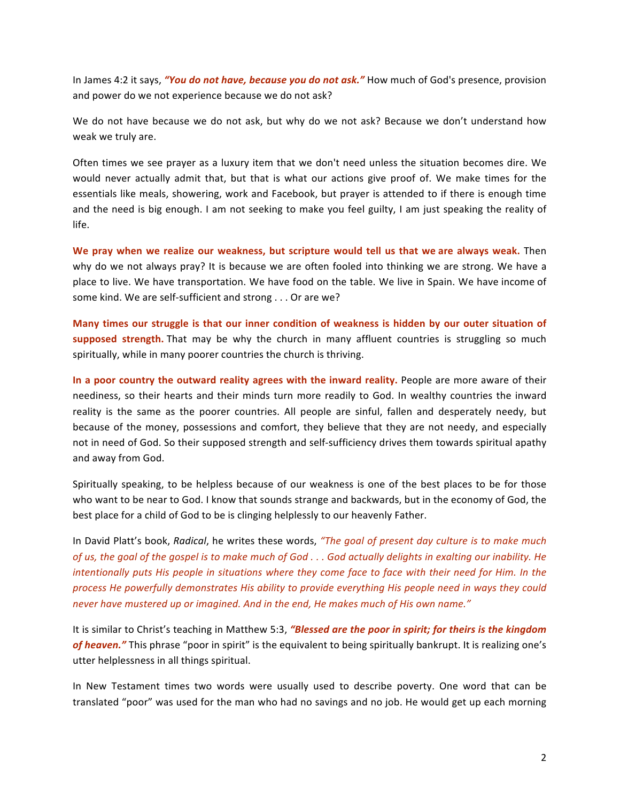In James 4:2 it says, "You do not have, because you do not ask." How much of God's presence, provision and power do we not experience because we do not ask?

We do not have because we do not ask, but why do we not ask? Because we don't understand how weak we truly are.

Often times we see prayer as a luxury item that we don't need unless the situation becomes dire. We would never actually admit that, but that is what our actions give proof of. We make times for the essentials like meals, showering, work and Facebook, but prayer is attended to if there is enough time and the need is big enough. I am not seeking to make you feel guilty, I am just speaking the reality of life.

We pray when we realize our weakness, but scripture would tell us that we are always weak. Then why do we not always pray? It is because we are often fooled into thinking we are strong. We have a place to live. We have transportation. We have food on the table. We live in Spain. We have income of some kind. We are self-sufficient and strong . . . Or are we?

**Many times our struggle is that our inner condition of weakness is hidden by our outer situation of supposed strength.** That may be why the church in many affluent countries is struggling so much spiritually, while in many poorer countries the church is thriving.

In a poor country the outward reality agrees with the inward reality. People are more aware of their neediness, so their hearts and their minds turn more readily to God. In wealthy countries the inward reality is the same as the poorer countries. All people are sinful, fallen and desperately needy, but because of the money, possessions and comfort, they believe that they are not needy, and especially not in need of God. So their supposed strength and self-sufficiency drives them towards spiritual apathy and away from God.

Spiritually speaking, to be helpless because of our weakness is one of the best places to be for those who want to be near to God. I know that sounds strange and backwards, but in the economy of God, the best place for a child of God to be is clinging helplessly to our heavenly Father.

In David Platt's book, *Radical*, he writes these words, "The goal of present day culture is to make much *of us, the goal of the gospel is to make much of God ... God actually delights in exalting our inability. He intentionally puts His people in situations where they come face to face with their need for Him. In the* process He powerfully demonstrates His ability to provide everything His people need in ways they could never have mustered up or imagined. And in the end, He makes much of His own name."

It is similar to Christ's teaching in Matthew 5:3, "Blessed are the poor in spirit; for theirs is the kingdom of heaven." This phrase "poor in spirit" is the equivalent to being spiritually bankrupt. It is realizing one's utter helplessness in all things spiritual.

In New Testament times two words were usually used to describe poverty. One word that can be translated "poor" was used for the man who had no savings and no job. He would get up each morning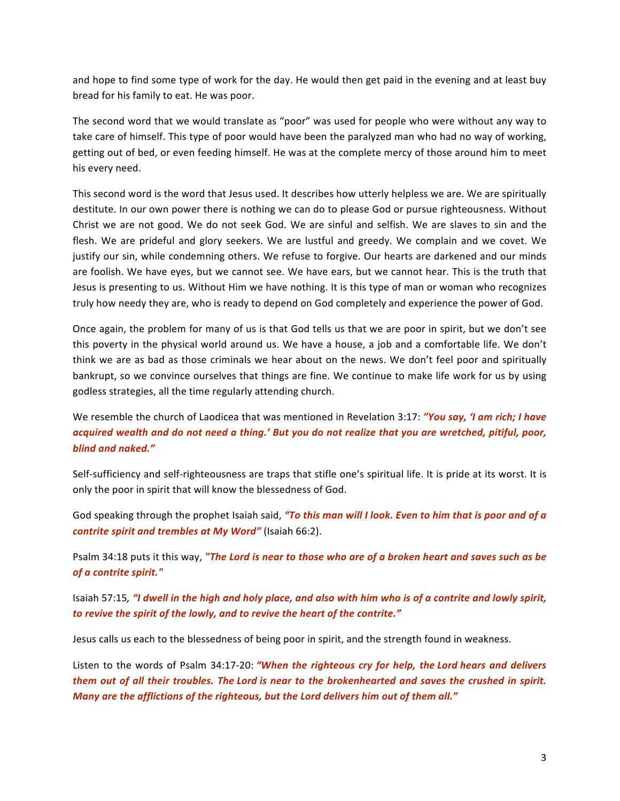and hope to find some type of work for the day. He would then get paid in the evening and at least buy bread for his family to eat. He was poor.

The second word that we would translate as "poor" was used for people who were without any way to take care of himself. This type of poor would have been the paralyzed man who had no way of working, getting out of bed, or even feeding himself. He was at the complete mercy of those around him to meet his every need.

This second word is the word that Jesus used. It describes how utterly helpless we are. We are spiritually destitute. In our own power there is nothing we can do to please God or pursue righteousness. Without Christ we are not good. We do not seek God. We are sinful and selfish. We are slaves to sin and the flesh. We are prideful and glory seekers. We are lustful and greedy. We complain and we covet. We justify our sin, while condemning others. We refuse to forgive. Our hearts are darkened and our minds are foolish. We have eyes, but we cannot see. We have ears, but we cannot hear. This is the truth that Jesus is presenting to us. Without Him we have nothing. It is this type of man or woman who recognizes truly how needy they are, who is ready to depend on God completely and experience the power of God.

Once again, the problem for many of us is that God tells us that we are poor in spirit, but we don't see this poverty in the physical world around us. We have a house, a job and a comfortable life. We don't think we are as bad as those criminals we hear about on the news. We don't feel poor and spiritually bankrupt, so we convince ourselves that things are fine. We continue to make life work for us by using godless strategies, all the time regularly attending church.

We resemble the church of Laodicea that was mentioned in Revelation 3:17: "You say, 'I am rich; I have *acquired wealth and do not need a thing.' But you do not realize that you are wretched, pitiful, poor, blind and naked."* 

Self-sufficiency and self-righteousness are traps that stifle one's spiritual life. It is pride at its worst. It is only the poor in spirit that will know the blessedness of God.

God speaking through the prophet Isaiah said, "To this man will I look. Even to him that is poor and of a *contrite spirit and trembles at My Word"* (Isaiah 66:2).

Psalm 34:18 puts it this way, "The Lord is near to those who are of a broken heart and saves such as be of *a* contrite spirit."

Isaiah 57:15, *"I* dwell in the high and holy place, and also with him who is of a contrite and lowly spirit, to revive the spirit of the lowly, and to revive the heart of the contrite."

Jesus calls us each to the blessedness of being poor in spirit, and the strength found in weakness.

Listen to the words of Psalm 34:17-20: "When the righteous cry for help, the Lord hears and delivers *them* out of all their troubles. The Lord is near to the brokenhearted and saves the crushed in spirit. *Many are the afflictions of the righteous, but the Lord delivers him out of them all."*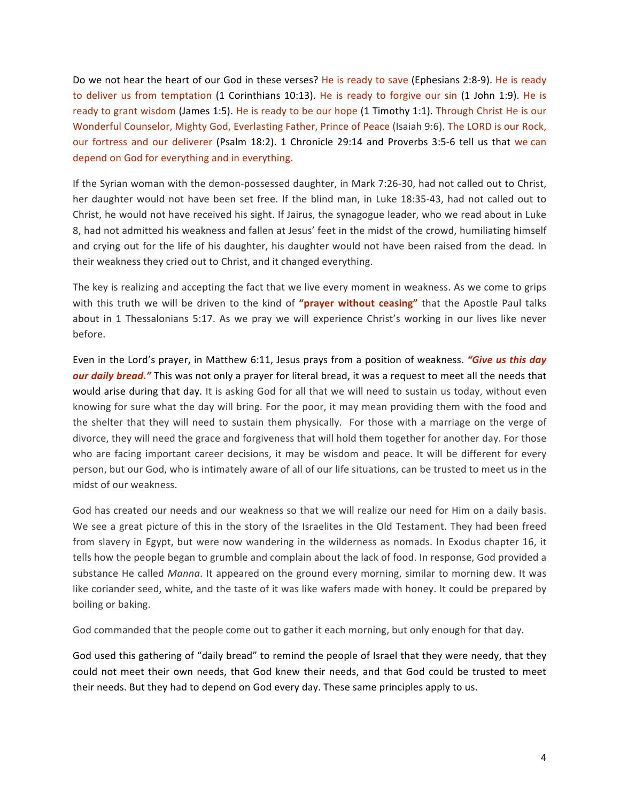Do we not hear the heart of our God in these verses? He is ready to save (Ephesians 2:8-9). He is ready to deliver us from temptation (1 Corinthians 10:13). He is ready to forgive our sin (1 John 1:9). He is ready to grant wisdom (James 1:5). He is ready to be our hope (1 Timothy 1:1). Through Christ He is our Wonderful Counselor, Mighty God, Everlasting Father, Prince of Peace (Isaiah 9:6). The LORD is our Rock, our fortress and our deliverer (Psalm 18:2). 1 Chronicle 29:14 and Proverbs 3:5-6 tell us that we can depend on God for everything and in everything.

If the Syrian woman with the demon-possessed daughter, in Mark 7:26-30, had not called out to Christ, her daughter would not have been set free. If the blind man, in Luke 18:35-43, had not called out to Christ, he would not have received his sight. If Jairus, the synagogue leader, who we read about in Luke 8, had not admitted his weakness and fallen at Jesus' feet in the midst of the crowd, humiliating himself and crying out for the life of his daughter, his daughter would not have been raised from the dead. In their weakness they cried out to Christ, and it changed everything.

The key is realizing and accepting the fact that we live every moment in weakness. As we come to grips with this truth we will be driven to the kind of "prayer without ceasing" that the Apostle Paul talks about in 1 Thessalonians 5:17. As we pray we will experience Christ's working in our lives like never before.

Even in the Lord's prayer, in Matthew 6:11, Jesus prays from a position of weakness. *"Give us this day our daily bread."* This was not only a prayer for literal bread, it was a request to meet all the needs that would arise during that day. It is asking God for all that we will need to sustain us today, without even knowing for sure what the day will bring. For the poor, it may mean providing them with the food and the shelter that they will need to sustain them physically. For those with a marriage on the verge of divorce, they will need the grace and forgiveness that will hold them together for another day. For those who are facing important career decisions, it may be wisdom and peace. It will be different for every person, but our God, who is intimately aware of all of our life situations, can be trusted to meet us in the midst of our weakness.

God has created our needs and our weakness so that we will realize our need for Him on a daily basis. We see a great picture of this in the story of the Israelites in the Old Testament. They had been freed from slavery in Egypt, but were now wandering in the wilderness as nomads. In Exodus chapter 16, it tells how the people began to grumble and complain about the lack of food. In response, God provided a substance He called *Manna*. It appeared on the ground every morning, similar to morning dew. It was like coriander seed, white, and the taste of it was like wafers made with honey. It could be prepared by boiling or baking.

God commanded that the people come out to gather it each morning, but only enough for that day.

God used this gathering of "daily bread" to remind the people of Israel that they were needy, that they could not meet their own needs, that God knew their needs, and that God could be trusted to meet their needs. But they had to depend on God every day. These same principles apply to us.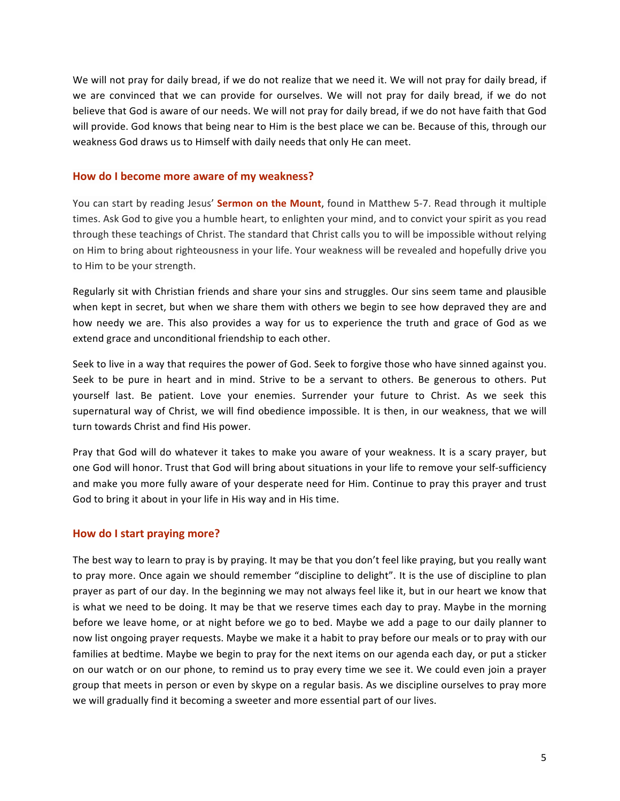We will not pray for daily bread, if we do not realize that we need it. We will not pray for daily bread, if we are convinced that we can provide for ourselves. We will not pray for daily bread, if we do not believe that God is aware of our needs. We will not pray for daily bread, if we do not have faith that God will provide. God knows that being near to Him is the best place we can be. Because of this, through our weakness God draws us to Himself with daily needs that only He can meet.

## How do I become more aware of my weakness?

You can start by reading Jesus' **Sermon on the Mount**, found in Matthew 5-7. Read through it multiple times. Ask God to give you a humble heart, to enlighten your mind, and to convict your spirit as you read through these teachings of Christ. The standard that Christ calls you to will be impossible without relying on Him to bring about righteousness in your life. Your weakness will be revealed and hopefully drive you to Him to be your strength.

Regularly sit with Christian friends and share your sins and struggles. Our sins seem tame and plausible when kept in secret, but when we share them with others we begin to see how depraved they are and how needy we are. This also provides a way for us to experience the truth and grace of God as we extend grace and unconditional friendship to each other.

Seek to live in a way that requires the power of God. Seek to forgive those who have sinned against you. Seek to be pure in heart and in mind. Strive to be a servant to others. Be generous to others. Put yourself last. Be patient. Love your enemies. Surrender your future to Christ. As we seek this supernatural way of Christ, we will find obedience impossible. It is then, in our weakness, that we will turn towards Christ and find His power.

Pray that God will do whatever it takes to make you aware of your weakness. It is a scary prayer, but one God will honor. Trust that God will bring about situations in your life to remove your self-sufficiency and make you more fully aware of your desperate need for Him. Continue to pray this prayer and trust God to bring it about in your life in His way and in His time.

## **How do I start praying more?**

The best way to learn to pray is by praying. It may be that you don't feel like praying, but you really want to pray more. Once again we should remember "discipline to delight". It is the use of discipline to plan prayer as part of our day. In the beginning we may not always feel like it, but in our heart we know that is what we need to be doing. It may be that we reserve times each day to pray. Maybe in the morning before we leave home, or at night before we go to bed. Maybe we add a page to our daily planner to now list ongoing prayer requests. Maybe we make it a habit to pray before our meals or to pray with our families at bedtime. Maybe we begin to pray for the next items on our agenda each day, or put a sticker on our watch or on our phone, to remind us to pray every time we see it. We could even join a prayer group that meets in person or even by skype on a regular basis. As we discipline ourselves to pray more we will gradually find it becoming a sweeter and more essential part of our lives.